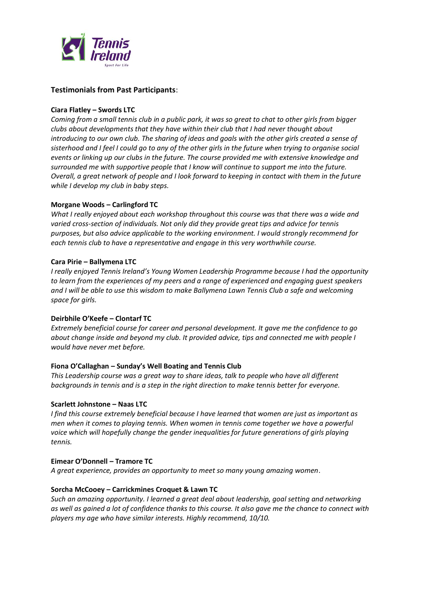

# **Testimonials from Past Participants**:

## **Ciara Flatley – Swords LTC**

*Coming from a small tennis club in a public park, it was so great to chat to other girls from bigger clubs about developments that they have within their club that I had never thought about introducing to our own club. The sharing of ideas and goals with the other girls created a sense of sisterhood and I feel I could go to any of the other girls in the future when trying to organise social events or linking up our clubs in the future. The course provided me with extensive knowledge and surrounded me with supportive people that I know will continue to support me into the future. Overall, a great network of people and I look forward to keeping in contact with them in the future while I develop my club in baby steps.*

## **Morgane Woods – Carlingford TC**

*What I really enjoyed about each workshop throughout this course was that there was a wide and varied cross-section of individuals. Not only did they provide great tips and advice for tennis purposes, but also advice applicable to the working environment. I would strongly recommend for each tennis club to have a representative and engage in this very worthwhile course.*

### **Cara Pirie – Ballymena LTC**

*I really enjoyed Tennis Ireland's Young Women Leadership Programme because I had the opportunity to learn from the experiences of my peers and a range of experienced and engaging guest speakers and I will be able to use this wisdom to make Ballymena Lawn Tennis Club a safe and welcoming space for girls.*

### **Deirbhile O'Keefe – Clontarf TC**

*Extremely beneficial course for career and personal development. It gave me the confidence to go about change inside and beyond my club. It provided advice, tips and connected me with people I would have never met before.*

### **Fiona O'Callaghan – Sunday's Well Boating and Tennis Club**

*This Leadership course was a great way to share ideas, talk to people who have all different backgrounds in tennis and is a step in the right direction to make tennis better for everyone.*

### **Scarlett Johnstone – Naas LTC**

*I find this course extremely beneficial because I have learned that women are just as important as men when it comes to playing tennis. When women in tennis come together we have a powerful voice which will hopefully change the gender inequalities for future generations of girls playing tennis.*

### **Eimear O'Donnell – Tramore TC**

*A great experience, provides an opportunity to meet so many young amazing women*.

### **Sorcha McCooey – Carrickmines Croquet & Lawn TC**

*Such an amazing opportunity. I learned a great deal about leadership, goal setting and networking as well as gained a lot of confidence thanks to this course. It also gave me the chance to connect with players my age who have similar interests. Highly recommend, 10/10.*